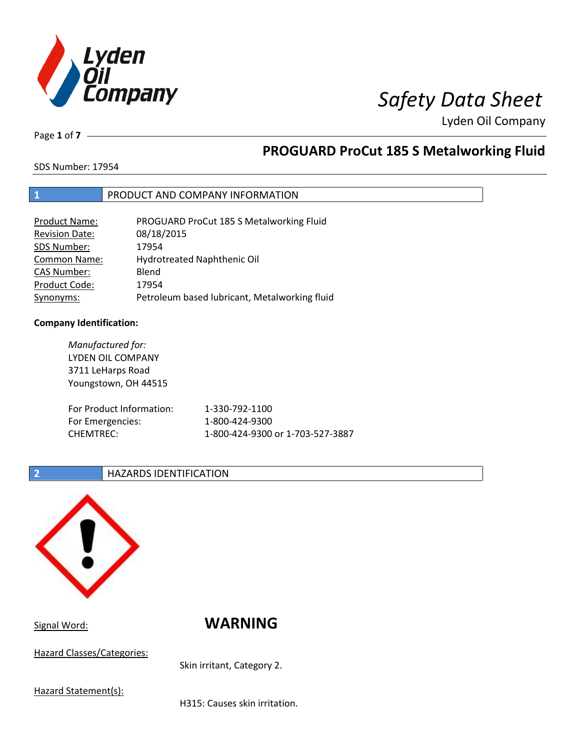

Page **1** of **7**

# **PROGUARD ProCut 185 S Metalworking Fluid**

SDS Number: 17954

## **1** PRODUCT AND COMPANY INFORMATION

| <b>Product Name:</b>  | PROGUARD ProCut 185 S Metalworking Fluid      |
|-----------------------|-----------------------------------------------|
| <b>Revision Date:</b> | 08/18/2015                                    |
| SDS Number:           | 17954                                         |
| <b>Common Name:</b>   | Hydrotreated Naphthenic Oil                   |
| <b>CAS Number:</b>    | Blend                                         |
| Product Code:         | 17954                                         |
| Synonyms:             | Petroleum based lubricant, Metalworking fluid |

### **Company Identification:**

*Manufactured for:* LYDEN OIL COMPANY 3711 LeHarps Road Youngstown, OH 44515 For Product Information: 1-330-792-1100 For Emergencies: 1-800-424-9300 CHEMTREC: 1-800-424-9300 or 1-703-527-3887

### **2 HAZARDS IDENTIFICATION**



Hazard Classes/Categories:

Signal Word: **WARNING**

Skin irritant, Category 2.

Hazard Statement(s):

H315: Causes skin irritation.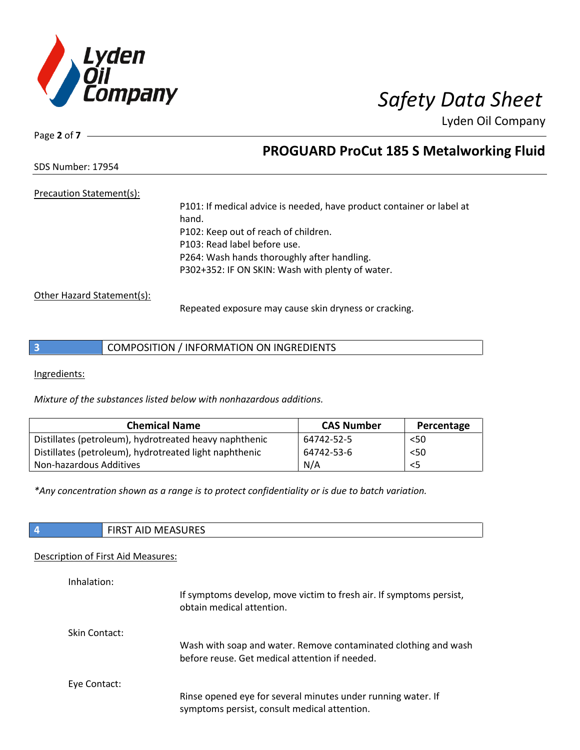

Page **2** of **7**

# **PROGUARD ProCut 185 S Metalworking Fluid**

SDS Number: 17954

## Precaution Statement(s):

P101: If medical advice is needed, have product container or label at hand. P102: Keep out of reach of children. P103: Read label before use. P264: Wash hands thoroughly after handling. P302+352: IF ON SKIN: Wash with plenty of water.

Other Hazard Statement(s):

Repeated exposure may cause skin dryness or cracking.

# **3** COMPOSITION / INFORMATION ON INGREDIENTS

Ingredients:

*Mixture of the substances listed below with nonhazardous additions.*

| <b>Chemical Name</b>                                   | <b>CAS Number</b> | Percentage |
|--------------------------------------------------------|-------------------|------------|
| Distillates (petroleum), hydrotreated heavy naphthenic | 64742-52-5        | < 50       |
| Distillates (petroleum), hydrotreated light naphthenic | 64742-53-6        | 50<        |
| Non-hazardous Additives                                | N/A               | <5         |

*\*Any concentration shown as a range is to protect confidentiality or is due to batch variation.*

| <b>FIRST AID MEASURES</b> |
|---------------------------|
|                           |

### Description of First Aid Measures:

| Inhalation:          | If symptoms develop, move victim to fresh air. If symptoms persist,<br>obtain medical attention.                  |
|----------------------|-------------------------------------------------------------------------------------------------------------------|
| <b>Skin Contact:</b> | Wash with soap and water. Remove contaminated clothing and wash<br>before reuse. Get medical attention if needed. |
| Eye Contact:         | Rinse opened eye for several minutes under running water. If<br>symptoms persist, consult medical attention.      |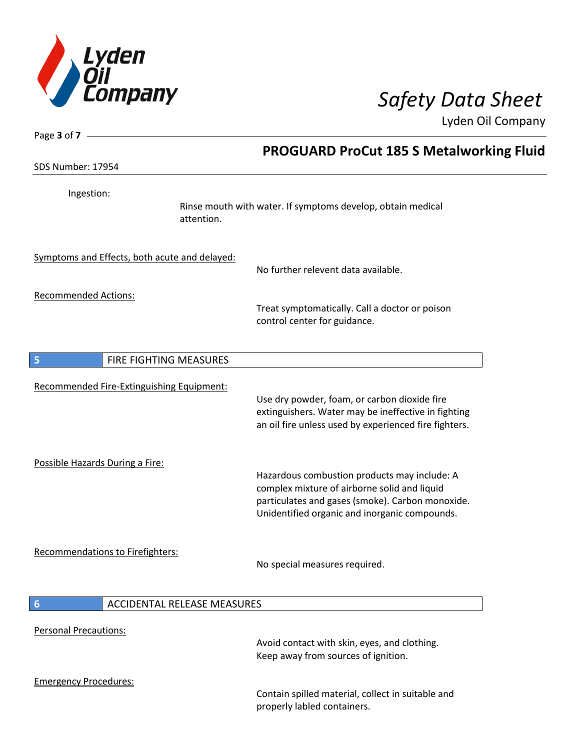

| Page 3 of 7 -                                 |                                                                                                                                                                                                   |
|-----------------------------------------------|---------------------------------------------------------------------------------------------------------------------------------------------------------------------------------------------------|
|                                               | <b>PROGUARD ProCut 185 S Metalworking Fluid</b>                                                                                                                                                   |
| <b>SDS Number: 17954</b>                      |                                                                                                                                                                                                   |
| Ingestion:                                    | Rinse mouth with water. If symptoms develop, obtain medical<br>attention.                                                                                                                         |
| Symptoms and Effects, both acute and delayed: | No further relevent data available.                                                                                                                                                               |
| <b>Recommended Actions:</b>                   |                                                                                                                                                                                                   |
|                                               | Treat symptomatically. Call a doctor or poison<br>control center for guidance.                                                                                                                    |
| FIRE FIGHTING MEASURES<br>5                   |                                                                                                                                                                                                   |
|                                               |                                                                                                                                                                                                   |
| Recommended Fire-Extinguishing Equipment:     | Use dry powder, foam, or carbon dioxide fire<br>extinguishers. Water may be ineffective in fighting<br>an oil fire unless used by experienced fire fighters.                                      |
| Possible Hazards During a Fire:               | Hazardous combustion products may include: A<br>complex mixture of airborne solid and liquid<br>particulates and gases (smoke). Carbon monoxide.<br>Unidentified organic and inorganic compounds. |
| <b>Recommendations to Firefighters:</b>       | No special measures required.                                                                                                                                                                     |
| <b>ACCIDENTAL RELEASE MEASURES</b><br>6       |                                                                                                                                                                                                   |
|                                               |                                                                                                                                                                                                   |
| <b>Personal Precautions:</b>                  | Avoid contact with skin, eyes, and clothing.<br>Keep away from sources of ignition.                                                                                                               |
| <b>Emergency Procedures:</b>                  | Contain spilled material, collect in suitable and<br>properly labled containers.                                                                                                                  |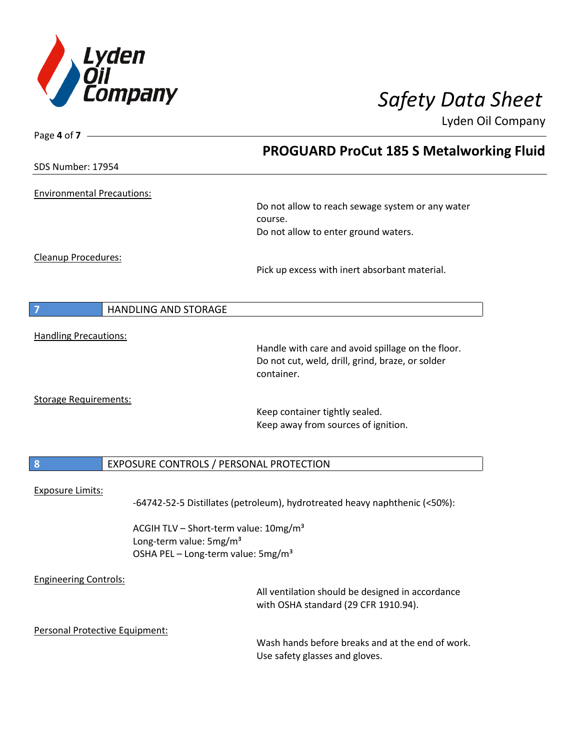

Page **4** of **7**

Lyden Oil Company

|                                   |                                                                                       | <b>PROGUARD ProCut 185 S Metalworking Fluid</b>                                          |  |
|-----------------------------------|---------------------------------------------------------------------------------------|------------------------------------------------------------------------------------------|--|
| SDS Number: 17954                 |                                                                                       |                                                                                          |  |
| <b>Environmental Precautions:</b> |                                                                                       |                                                                                          |  |
|                                   |                                                                                       | Do not allow to reach sewage system or any water<br>course.                              |  |
|                                   |                                                                                       | Do not allow to enter ground waters.                                                     |  |
| Cleanup Procedures:               |                                                                                       |                                                                                          |  |
|                                   |                                                                                       | Pick up excess with inert absorbant material.                                            |  |
|                                   | HANDLING AND STORAGE                                                                  |                                                                                          |  |
| <b>Handling Precautions:</b>      |                                                                                       |                                                                                          |  |
|                                   |                                                                                       | Handle with care and avoid spillage on the floor.                                        |  |
|                                   |                                                                                       | Do not cut, weld, drill, grind, braze, or solder<br>container.                           |  |
|                                   |                                                                                       |                                                                                          |  |
| <b>Storage Requirements:</b>      |                                                                                       |                                                                                          |  |
|                                   |                                                                                       | Keep container tightly sealed.                                                           |  |
|                                   |                                                                                       | Keep away from sources of ignition.                                                      |  |
|                                   |                                                                                       |                                                                                          |  |
| 8                                 | EXPOSURE CONTROLS / PERSONAL PROTECTION                                               |                                                                                          |  |
|                                   |                                                                                       |                                                                                          |  |
| <b>Exposure Limits:</b>           |                                                                                       | -64742-52-5 Distillates (petroleum), hydrotreated heavy naphthenic (<50%):               |  |
|                                   | ACGIH TLV - Short-term value: 10mg/m <sup>3</sup>                                     |                                                                                          |  |
|                                   | Long-term value: 5mg/m <sup>3</sup><br>OSHA PEL - Long-term value: 5mg/m <sup>3</sup> |                                                                                          |  |
|                                   |                                                                                       |                                                                                          |  |
| <b>Engineering Controls:</b>      |                                                                                       |                                                                                          |  |
|                                   |                                                                                       | All ventilation should be designed in accordance<br>with OSHA standard (29 CFR 1910.94). |  |
| Personal Protective Equipment:    |                                                                                       |                                                                                          |  |
|                                   |                                                                                       | Wash hands before breaks and at the end of work.<br>Use safety glasses and gloves.       |  |
|                                   |                                                                                       |                                                                                          |  |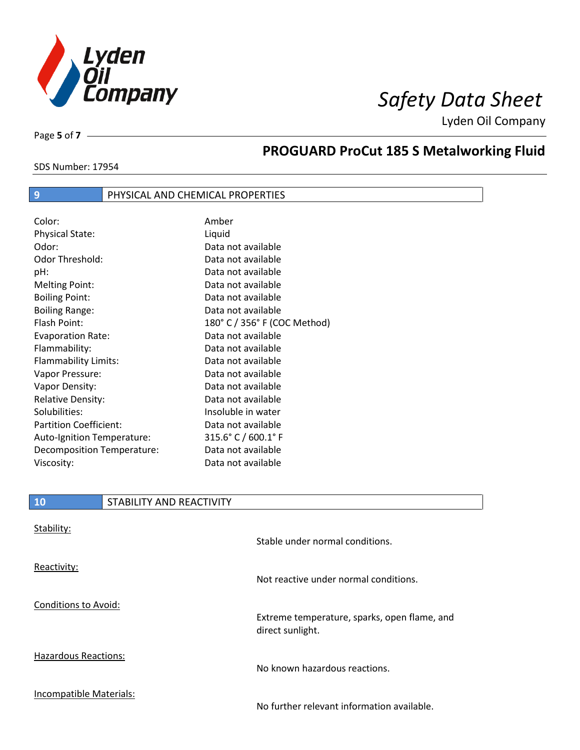

SDS Number: 17954

Page **5** of **7**

# **PROGUARD ProCut 185 S Metalworking Fluid**

## **9** PHYSICAL AND CHEMICAL PROPERTIES

| Color:                        | Amber                        |
|-------------------------------|------------------------------|
| <b>Physical State:</b>        | Liquid                       |
| Odor:                         | Data not available           |
| Odor Threshold:               | Data not available           |
| pH:                           | Data not available           |
| <b>Melting Point:</b>         | Data not available           |
| <b>Boiling Point:</b>         | Data not available           |
| <b>Boiling Range:</b>         | Data not available           |
| Flash Point:                  | 180° C / 356° F (COC Method) |
| <b>Evaporation Rate:</b>      | Data not available           |
| Flammability:                 | Data not available           |
| Flammability Limits:          | Data not available           |
| Vapor Pressure:               | Data not available           |
| Vapor Density:                | Data not available           |
| <b>Relative Density:</b>      | Data not available           |
| Solubilities:                 | Insoluble in water           |
| <b>Partition Coefficient:</b> | Data not available           |
| Auto-Ignition Temperature:    | 315.6° C / 600.1° F          |
| Decomposition Temperature:    | Data not available           |
| Viscosity:                    | Data not available           |

## **10** STABILITY AND REACTIVITY

| Stability:              | Stable under normal conditions.                                  |
|-------------------------|------------------------------------------------------------------|
| Reactivity:             | Not reactive under normal conditions.                            |
| Conditions to Avoid:    | Extreme temperature, sparks, open flame, and<br>direct sunlight. |
| Hazardous Reactions:    | No known hazardous reactions.                                    |
| Incompatible Materials: | No further relevant information available.                       |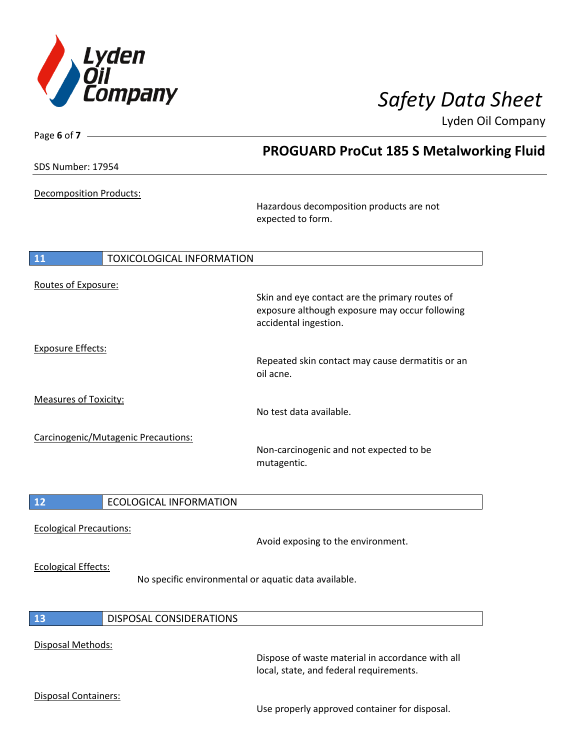

| Page 6 of $7 -$                             |                                                      |  |
|---------------------------------------------|------------------------------------------------------|--|
|                                             | <b>PROGUARD ProCut 185 S Metalworking Fluid</b>      |  |
| SDS Number: 17954                           |                                                      |  |
|                                             |                                                      |  |
| Decomposition Products:                     |                                                      |  |
|                                             | Hazardous decomposition products are not             |  |
|                                             | expected to form.                                    |  |
|                                             |                                                      |  |
| <b>TOXICOLOGICAL INFORMATION</b><br>11      |                                                      |  |
|                                             |                                                      |  |
| Routes of Exposure:                         |                                                      |  |
|                                             | Skin and eye contact are the primary routes of       |  |
|                                             | exposure although exposure may occur following       |  |
|                                             | accidental ingestion.                                |  |
| <b>Exposure Effects:</b>                    |                                                      |  |
|                                             | Repeated skin contact may cause dermatitis or an     |  |
|                                             | oil acne.                                            |  |
|                                             |                                                      |  |
| <b>Measures of Toxicity:</b>                | No test data available.                              |  |
|                                             |                                                      |  |
| Carcinogenic/Mutagenic Precautions:         |                                                      |  |
|                                             | Non-carcinogenic and not expected to be              |  |
|                                             | mutagentic.                                          |  |
|                                             |                                                      |  |
| 12<br><b>ECOLOGICAL INFORMATION</b>         |                                                      |  |
|                                             |                                                      |  |
| <b>Ecological Precautions:</b>              |                                                      |  |
|                                             | Avoid exposing to the environment.                   |  |
|                                             |                                                      |  |
| <b>Ecological Effects:</b>                  | No specific environmental or aquatic data available. |  |
|                                             |                                                      |  |
|                                             |                                                      |  |
| <b>13</b><br><b>DISPOSAL CONSIDERATIONS</b> |                                                      |  |
|                                             |                                                      |  |
| Disposal Methods:                           | Dispose of waste material in accordance with all     |  |
|                                             | local, state, and federal requirements.              |  |
|                                             |                                                      |  |
| Disposal Containers:                        |                                                      |  |
|                                             | Use properly approved container for disposal.        |  |
|                                             |                                                      |  |